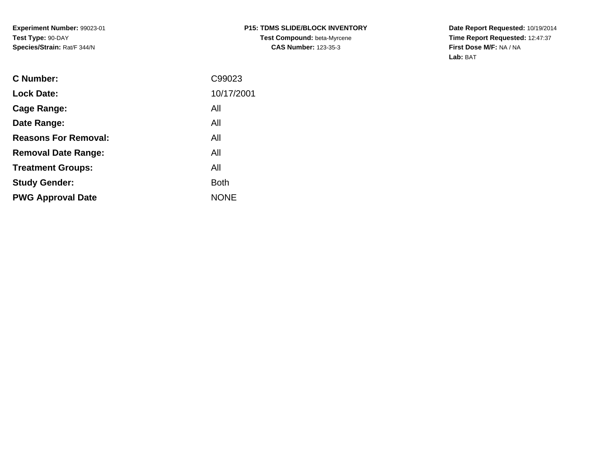**Date Report Requested:** 10/19/2014 **Time Report Requested:** 12:47:37**First Dose M/F:** NA / NA**Lab:** BAT

| <b>C</b> Number:            | C99023      |
|-----------------------------|-------------|
| <b>Lock Date:</b>           | 10/17/2001  |
| Cage Range:                 | All         |
| Date Range:                 | All         |
| <b>Reasons For Removal:</b> | All         |
| <b>Removal Date Range:</b>  | All         |
| <b>Treatment Groups:</b>    | All         |
| <b>Study Gender:</b>        | <b>Both</b> |
| <b>PWG Approval Date</b>    | <b>NONE</b> |
|                             |             |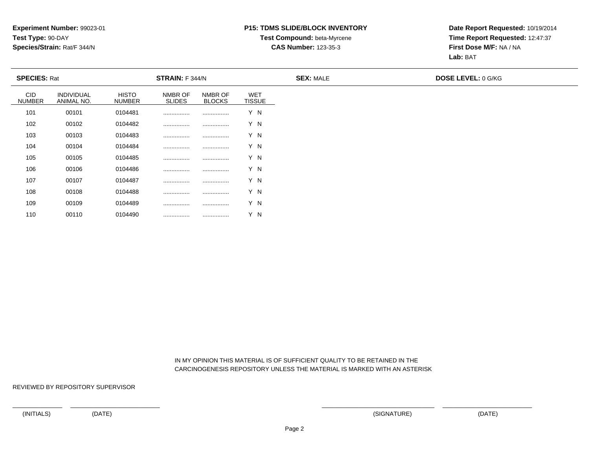# **P15: TDMS SLIDE/BLOCK INVENTORYTest Compound:** beta-Myrcene**CAS Number:** 123-35-3

**Date Report Requested:** 10/19/2014**Time Report Requested:** 12:47:37**First Dose M/F:** NA / NA**Lab:** BAT

| <b>SPECIES: Rat</b>         |                          |                               | STRAIN: F 344/N          |                          |                             | <b>SEX: MALE</b> | <b>DOSE LEVEL: 0 G/KG</b> |  |  |
|-----------------------------|--------------------------|-------------------------------|--------------------------|--------------------------|-----------------------------|------------------|---------------------------|--|--|
| <b>CID</b><br><b>NUMBER</b> | INDIVIDUAL<br>ANIMAL NO. | <b>HISTO</b><br><b>NUMBER</b> | NMBR OF<br><b>SLIDES</b> | NMBR OF<br><b>BLOCKS</b> | <b>WET</b><br><b>TISSUE</b> |                  |                           |  |  |
| 101                         | 00101                    | 0104481                       |                          |                          | Y N                         |                  |                           |  |  |
| 102                         | 00102                    | 0104482                       |                          |                          | Y N                         |                  |                           |  |  |
| 103                         | 00103                    | 0104483                       |                          |                          | Y N                         |                  |                           |  |  |
| 104                         | 00104                    | 0104484                       |                          |                          | Y N                         |                  |                           |  |  |
| 105                         | 00105                    | 0104485                       |                          |                          | Y N                         |                  |                           |  |  |
| 106                         | 00106                    | 0104486                       |                          |                          | Y N                         |                  |                           |  |  |
| 107                         | 00107                    | 0104487                       |                          |                          | Y N                         |                  |                           |  |  |
| 108                         | 00108                    | 0104488                       |                          |                          | Y N                         |                  |                           |  |  |
| 109                         | 00109                    | 0104489                       |                          |                          | Y N                         |                  |                           |  |  |
| 110                         | 00110                    | 0104490                       |                          |                          | Y N                         |                  |                           |  |  |

 IN MY OPINION THIS MATERIAL IS OF SUFFICIENT QUALITY TO BE RETAINED IN THECARCINOGENESIS REPOSITORY UNLESS THE MATERIAL IS MARKED WITH AN ASTERISK

REVIEWED BY REPOSITORY SUPERVISOR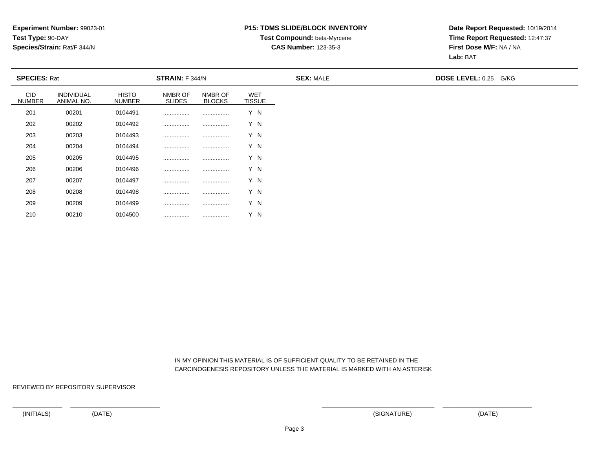# **P15: TDMS SLIDE/BLOCK INVENTORYTest Compound:** beta-Myrcene**CAS Number:** 123-35-3

**Date Report Requested:** 10/19/2014**Time Report Requested:** 12:47:37**First Dose M/F:** NA / NA**Lab:** BAT

| <b>SPECIES: Rat</b>         |                          |                               | <b>STRAIN: F 344/N</b>   |                          |                             | <b>SEX: MALE</b> | DOSE LEVEL: 0.25 G/KG |  |  |
|-----------------------------|--------------------------|-------------------------------|--------------------------|--------------------------|-----------------------------|------------------|-----------------------|--|--|
| <b>CID</b><br><b>NUMBER</b> | INDIVIDUAL<br>ANIMAL NO. | <b>HISTO</b><br><b>NUMBER</b> | NMBR OF<br><b>SLIDES</b> | NMBR OF<br><b>BLOCKS</b> | <b>WET</b><br><b>TISSUE</b> |                  |                       |  |  |
| 201                         | 00201                    | 0104491                       |                          |                          | Y N                         |                  |                       |  |  |
| 202                         | 00202                    | 0104492                       |                          |                          | Y N                         |                  |                       |  |  |
| 203                         | 00203                    | 0104493                       |                          |                          | Y N                         |                  |                       |  |  |
| 204                         | 00204                    | 0104494                       |                          |                          | Y N                         |                  |                       |  |  |
| 205                         | 00205                    | 0104495                       |                          |                          | Y N                         |                  |                       |  |  |
| 206                         | 00206                    | 0104496                       |                          |                          | Y N                         |                  |                       |  |  |
| 207                         | 00207                    | 0104497                       |                          |                          | Y N                         |                  |                       |  |  |
| 208                         | 00208                    | 0104498                       |                          |                          | Y N                         |                  |                       |  |  |
| 209                         | 00209                    | 0104499                       |                          |                          | Y N                         |                  |                       |  |  |
| 210                         | 00210                    | 0104500                       |                          |                          | Y N                         |                  |                       |  |  |

 IN MY OPINION THIS MATERIAL IS OF SUFFICIENT QUALITY TO BE RETAINED IN THECARCINOGENESIS REPOSITORY UNLESS THE MATERIAL IS MARKED WITH AN ASTERISK

REVIEWED BY REPOSITORY SUPERVISOR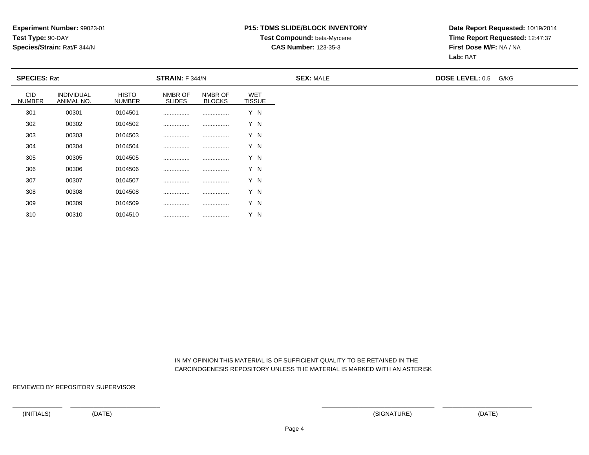# **P15: TDMS SLIDE/BLOCK INVENTORYTest Compound:** beta-Myrcene**CAS Number:** 123-35-3

**Date Report Requested:** 10/19/2014**Time Report Requested:** 12:47:37**First Dose M/F:** NA / NA**Lab:** BAT

| <b>SPECIES: Rat</b>  |                          |                               | <b>STRAIN: F 344/N</b>   |                          |                             | <b>SEX: MALE</b> | DOSE LEVEL: 0.5 G/KG |
|----------------------|--------------------------|-------------------------------|--------------------------|--------------------------|-----------------------------|------------------|----------------------|
| CID<br><b>NUMBER</b> | INDIVIDUAL<br>ANIMAL NO. | <b>HISTO</b><br><b>NUMBER</b> | NMBR OF<br><b>SLIDES</b> | NMBR OF<br><b>BLOCKS</b> | <b>WET</b><br><b>TISSUE</b> |                  |                      |
| 301                  | 00301                    | 0104501                       |                          |                          | Y N                         |                  |                      |
| 302                  | 00302                    | 0104502                       |                          |                          | Y N                         |                  |                      |
| 303                  | 00303                    | 0104503                       |                          |                          | Y N                         |                  |                      |
| 304                  | 00304                    | 0104504                       |                          |                          | Y N                         |                  |                      |
| 305                  | 00305                    | 0104505                       |                          |                          | Y N                         |                  |                      |
| 306                  | 00306                    | 0104506                       |                          |                          | Y N                         |                  |                      |
| 307                  | 00307                    | 0104507                       |                          |                          | Y N                         |                  |                      |
| 308                  | 00308                    | 0104508                       |                          |                          | Y N                         |                  |                      |
| 309                  | 00309                    | 0104509                       |                          |                          | Y N                         |                  |                      |
| 310                  | 00310                    | 0104510                       |                          |                          | Y N                         |                  |                      |

 IN MY OPINION THIS MATERIAL IS OF SUFFICIENT QUALITY TO BE RETAINED IN THECARCINOGENESIS REPOSITORY UNLESS THE MATERIAL IS MARKED WITH AN ASTERISK

REVIEWED BY REPOSITORY SUPERVISOR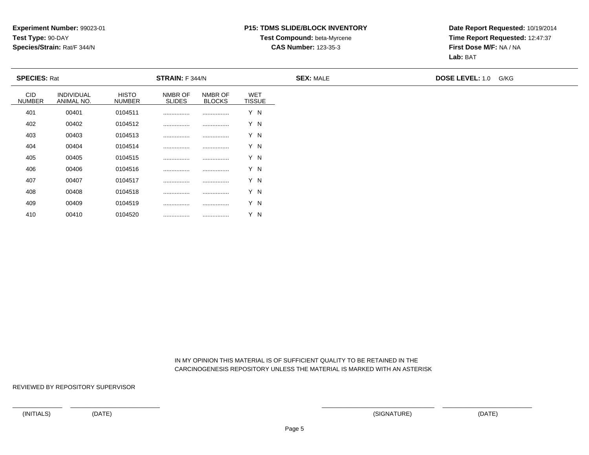# **P15: TDMS SLIDE/BLOCK INVENTORYTest Compound:** beta-Myrcene**CAS Number:** 123-35-3

**Date Report Requested:** 10/19/2014**Time Report Requested:** 12:47:37**First Dose M/F:** NA / NA**Lab:** BAT

|                             | <b>SPECIES: Rat</b>             |                               | <b>STRAIN:</b> $F$ 344/N |                          |                             | <b>SEX: MALE</b> | <b>DOSE LEVEL: 1.0 G/KG</b> |  |  |
|-----------------------------|---------------------------------|-------------------------------|--------------------------|--------------------------|-----------------------------|------------------|-----------------------------|--|--|
| <b>CID</b><br><b>NUMBER</b> | <b>INDIVIDUAL</b><br>ANIMAL NO. | <b>HISTO</b><br><b>NUMBER</b> | NMBR OF<br><b>SLIDES</b> | NMBR OF<br><b>BLOCKS</b> | <b>WET</b><br><b>TISSUE</b> |                  |                             |  |  |
| 401                         | 00401                           | 0104511                       |                          |                          | Y N                         |                  |                             |  |  |
| 402                         | 00402                           | 0104512                       |                          |                          | Y N                         |                  |                             |  |  |
| 403                         | 00403                           | 0104513                       |                          |                          | Y N                         |                  |                             |  |  |
| 404                         | 00404                           | 0104514                       |                          |                          | Y N                         |                  |                             |  |  |
| 405                         | 00405                           | 0104515                       |                          |                          | Y N                         |                  |                             |  |  |
| 406                         | 00406                           | 0104516                       |                          |                          | Y N                         |                  |                             |  |  |
| 407                         | 00407                           | 0104517                       |                          |                          | Y N                         |                  |                             |  |  |
| 408                         | 00408                           | 0104518                       |                          |                          | Y N                         |                  |                             |  |  |
| 409                         | 00409                           | 0104519                       |                          |                          | Y N                         |                  |                             |  |  |
| 410                         | 00410                           | 0104520                       |                          |                          | Y N                         |                  |                             |  |  |

 IN MY OPINION THIS MATERIAL IS OF SUFFICIENT QUALITY TO BE RETAINED IN THECARCINOGENESIS REPOSITORY UNLESS THE MATERIAL IS MARKED WITH AN ASTERISK

REVIEWED BY REPOSITORY SUPERVISOR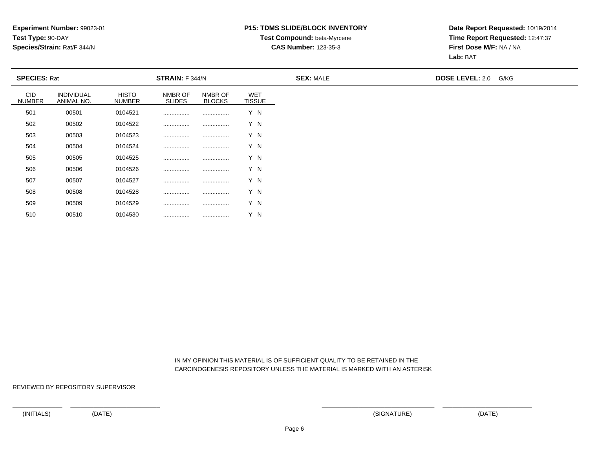# **P15: TDMS SLIDE/BLOCK INVENTORYTest Compound:** beta-Myrcene**CAS Number:** 123-35-3

**Date Report Requested:** 10/19/2014**Time Report Requested:** 12:47:37**First Dose M/F:** NA / NA**Lab:** BAT

 $\overline{\phantom{0}}$ 

| <b>SPECIES: Rat</b>         |                                 |                               | <b>STRAIN:</b> F 344/N   |                          |                             | <b>SEX: MALE</b> | DOSE LEVEL: 2.0 G/KG |  |
|-----------------------------|---------------------------------|-------------------------------|--------------------------|--------------------------|-----------------------------|------------------|----------------------|--|
| <b>CID</b><br><b>NUMBER</b> | <b>INDIVIDUAL</b><br>ANIMAL NO. | <b>HISTO</b><br><b>NUMBER</b> | NMBR OF<br><b>SLIDES</b> | NMBR OF<br><b>BLOCKS</b> | <b>WET</b><br><b>TISSUE</b> |                  |                      |  |
| 501                         | 00501                           | 0104521                       |                          |                          | Y N                         |                  |                      |  |
| 502                         | 00502                           | 0104522                       |                          |                          | Y N                         |                  |                      |  |
| 503                         | 00503                           | 0104523                       |                          |                          | Y N                         |                  |                      |  |
| 504                         | 00504                           | 0104524                       |                          |                          | Y N                         |                  |                      |  |
| 505                         | 00505                           | 0104525                       |                          |                          | Y N                         |                  |                      |  |
| 506                         | 00506                           | 0104526                       |                          |                          | Y N                         |                  |                      |  |
| 507                         | 00507                           | 0104527                       |                          |                          | Y N                         |                  |                      |  |
| 508                         | 00508                           | 0104528                       |                          |                          | Y N                         |                  |                      |  |
| 509                         | 00509                           | 0104529                       |                          |                          | Y N                         |                  |                      |  |
| 510                         | 00510                           | 0104530                       |                          |                          | Y N                         |                  |                      |  |

 IN MY OPINION THIS MATERIAL IS OF SUFFICIENT QUALITY TO BE RETAINED IN THECARCINOGENESIS REPOSITORY UNLESS THE MATERIAL IS MARKED WITH AN ASTERISK

REVIEWED BY REPOSITORY SUPERVISOR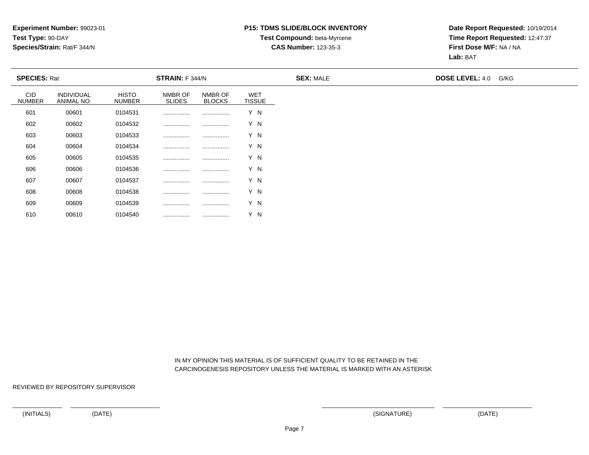# **P15: TDMS SLIDE/BLOCK INVENTORYTest Compound:** beta-Myrcene**CAS Number:** 123-35-3

**Date Report Requested:** 10/19/2014**Time Report Requested:** 12:47:37**First Dose M/F:** NA / NA**Lab:** BAT

| <b>SPECIES: Rat</b>         |                                 |                               | <b>STRAIN:</b> $F$ 344/N |                          |                             | <b>SEX: MALE</b> | <b>DOSE LEVEL: 4.0 G/KG</b> |  |
|-----------------------------|---------------------------------|-------------------------------|--------------------------|--------------------------|-----------------------------|------------------|-----------------------------|--|
| <b>CID</b><br><b>NUMBER</b> | <b>INDIVIDUAL</b><br>ANIMAL NO. | <b>HISTO</b><br><b>NUMBER</b> | NMBR OF<br><b>SLIDES</b> | NMBR OF<br><b>BLOCKS</b> | <b>WET</b><br><b>TISSUE</b> |                  |                             |  |
| 601                         | 00601                           | 0104531                       |                          |                          | Y N                         |                  |                             |  |
| 602                         | 00602                           | 0104532                       |                          |                          | Y N                         |                  |                             |  |
| 603                         | 00603                           | 0104533                       |                          |                          | Y N                         |                  |                             |  |
| 604                         | 00604                           | 0104534                       | .                        |                          | Y N                         |                  |                             |  |
| 605                         | 00605                           | 0104535                       | .                        |                          | Y N                         |                  |                             |  |
| 606                         | 00606                           | 0104536                       |                          |                          | Y N                         |                  |                             |  |
| 607                         | 00607                           | 0104537                       |                          |                          | Y N                         |                  |                             |  |
| 608                         | 00608                           | 0104538                       |                          |                          | Y N                         |                  |                             |  |
| 609                         | 00609                           | 0104539                       |                          |                          | Y N                         |                  |                             |  |
| 610                         | 00610                           | 0104540                       |                          |                          | Y N                         |                  |                             |  |

 IN MY OPINION THIS MATERIAL IS OF SUFFICIENT QUALITY TO BE RETAINED IN THECARCINOGENESIS REPOSITORY UNLESS THE MATERIAL IS MARKED WITH AN ASTERISK

REVIEWED BY REPOSITORY SUPERVISOR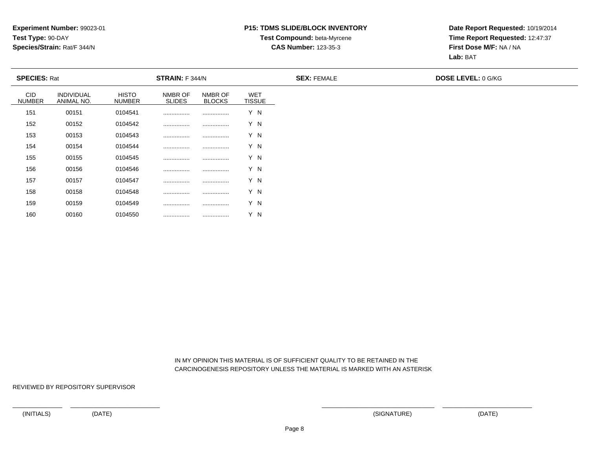# **P15: TDMS SLIDE/BLOCK INVENTORYTest Compound:** beta-Myrcene**CAS Number:** 123-35-3

**Date Report Requested:** 10/19/2014**Time Report Requested:** 12:47:37**First Dose M/F:** NA / NA**Lab:** BAT

| <b>SPECIES: Rat</b>         |                                 |                               | <b>STRAIN:</b> F 344/N   |                          |                             | <b>SEX: FEMALE</b> | <b>DOSE LEVEL: 0 G/KG</b> |  |  |
|-----------------------------|---------------------------------|-------------------------------|--------------------------|--------------------------|-----------------------------|--------------------|---------------------------|--|--|
| <b>CID</b><br><b>NUMBER</b> | <b>INDIVIDUAL</b><br>ANIMAL NO. | <b>HISTO</b><br><b>NUMBER</b> | NMBR OF<br><b>SLIDES</b> | NMBR OF<br><b>BLOCKS</b> | <b>WET</b><br><b>TISSUE</b> |                    |                           |  |  |
| 151                         | 00151                           | 0104541                       |                          |                          | Y N                         |                    |                           |  |  |
| 152                         | 00152                           | 0104542                       |                          |                          | Y N                         |                    |                           |  |  |
| 153                         | 00153                           | 0104543                       |                          |                          | Y N                         |                    |                           |  |  |
| 154                         | 00154                           | 0104544                       |                          |                          | Y N                         |                    |                           |  |  |
| 155                         | 00155                           | 0104545                       |                          |                          | Y N                         |                    |                           |  |  |
| 156                         | 00156                           | 0104546                       |                          |                          | Y N                         |                    |                           |  |  |
| 157                         | 00157                           | 0104547                       |                          |                          | Y N                         |                    |                           |  |  |
| 158                         | 00158                           | 0104548                       |                          |                          | Y N                         |                    |                           |  |  |
| 159                         | 00159                           | 0104549                       |                          |                          | Y N                         |                    |                           |  |  |
| 160                         | 00160                           | 0104550                       | .                        |                          | Y N                         |                    |                           |  |  |
|                             |                                 |                               |                          |                          |                             |                    |                           |  |  |

 IN MY OPINION THIS MATERIAL IS OF SUFFICIENT QUALITY TO BE RETAINED IN THECARCINOGENESIS REPOSITORY UNLESS THE MATERIAL IS MARKED WITH AN ASTERISK

REVIEWED BY REPOSITORY SUPERVISOR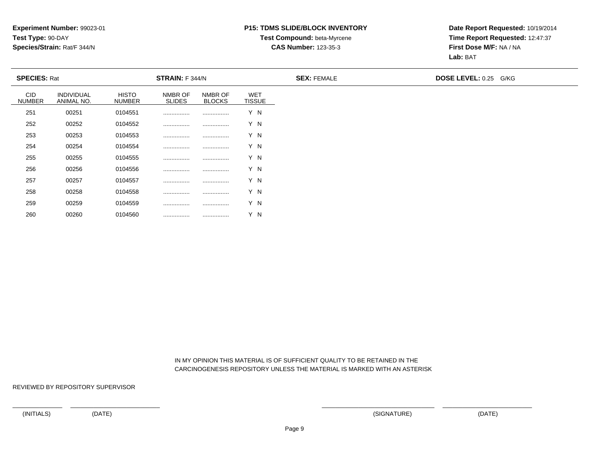**SPECIES:** Rat

260

### **P15: TDMS SLIDE/BLOCK INVENTORYTest Compound:** beta-Myrcene**CAS Number:** 123-35-3

**Date Report Requested:** 10/19/2014**Time Report Requested:** 12:47:37**First Dose M/F:** NA / NA**Lab:** BAT

CID NUMBERINDIVIDUAL ANIMAL NO.HISTO NUMBERNMBR OF SLIDESNMBR OF BLOCKSWET TISSUE251 <sup>00251</sup> <sup>0104551</sup> ................ ................ Y N252 <sup>00252</sup> <sup>0104552</sup> ................ ................ Y N253 <sup>00253</sup> <sup>0104553</sup> ................ ................ Y N254 <sup>00254</sup> <sup>0104554</sup> ................ ................ Y N255 <sup>00255</sup> <sup>0104555</sup> ................ ................ Y N256 <sup>00256</sup> <sup>0104556</sup> ................ ................ Y N257 <sup>00257</sup> <sup>0104557</sup> ................ ................ Y N258 <sup>00258</sup> <sup>0104558</sup> ................ ................ Y N259<sup>00259</sup> <sup>0104559</sup> ................ ................ Y N

**STRAIN:** F 344/N

<sup>00260</sup> <sup>0104560</sup> ................ ................ Y N

 IN MY OPINION THIS MATERIAL IS OF SUFFICIENT QUALITY TO BE RETAINED IN THECARCINOGENESIS REPOSITORY UNLESS THE MATERIAL IS MARKED WITH AN ASTERISK

REVIEWED BY REPOSITORY SUPERVISOR

# \_\_\_\_\_\_\_\_\_\_\_\_\_\_\_ \_\_\_\_\_\_\_\_\_\_\_\_\_\_\_\_\_\_\_\_\_\_\_\_\_\_\_ \_\_\_\_\_\_\_\_\_\_\_\_\_\_\_\_\_\_\_\_\_\_\_\_\_\_\_\_\_\_\_\_\_\_ \_\_\_\_\_\_\_\_\_\_\_\_\_\_\_\_\_\_\_\_\_\_\_\_\_\_\_

**SEX:** FEMALE **DOSE LEVEL:** 0.25 G/KG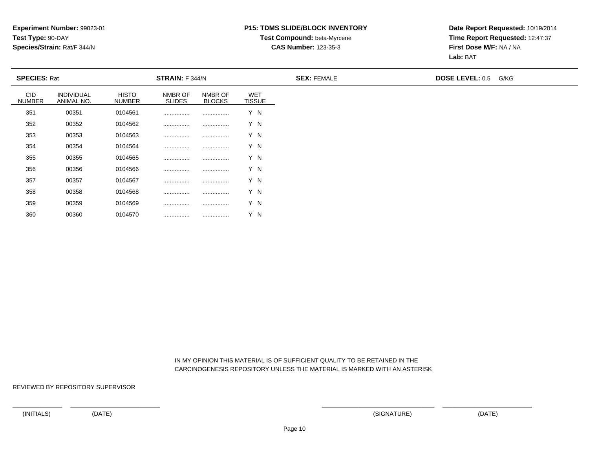# **P15: TDMS SLIDE/BLOCK INVENTORYTest Compound:** beta-Myrcene**CAS Number:** 123-35-3

**Date Report Requested:** 10/19/2014**Time Report Requested:** 12:47:37**First Dose M/F:** NA / NA**Lab:** BAT

| <b>SPECIES: Rat</b>         |                                 |                        | <b>STRAIN:</b> F 344/N   |                          |                             | <b>SEX: FEMALE</b> | <b>DOSE LEVEL: 0.5</b><br>G/KG |  |  |  |
|-----------------------------|---------------------------------|------------------------|--------------------------|--------------------------|-----------------------------|--------------------|--------------------------------|--|--|--|
| <b>CID</b><br><b>NUMBER</b> | <b>INDIVIDUAL</b><br>ANIMAL NO. | <b>HISTO</b><br>NUMBER | NMBR OF<br><b>SLIDES</b> | NMBR OF<br><b>BLOCKS</b> | <b>WET</b><br><b>TISSUE</b> |                    |                                |  |  |  |
| 351                         | 00351                           | 0104561                |                          |                          | Y N                         |                    |                                |  |  |  |
| 352                         | 00352                           | 0104562                |                          |                          | Y N                         |                    |                                |  |  |  |
| 353                         | 00353                           | 0104563                |                          |                          | Y N                         |                    |                                |  |  |  |
| 354                         | 00354                           | 0104564                |                          |                          | Y N                         |                    |                                |  |  |  |
| 355                         | 00355                           | 0104565                |                          |                          | Y N                         |                    |                                |  |  |  |
| 356                         | 00356                           | 0104566                |                          |                          | Y N                         |                    |                                |  |  |  |
| 357                         | 00357                           | 0104567                |                          |                          | Y N                         |                    |                                |  |  |  |
| 358                         | 00358                           | 0104568                |                          |                          | Y N                         |                    |                                |  |  |  |
| 359                         | 00359                           | 0104569                |                          |                          | Y N                         |                    |                                |  |  |  |
| 360                         | 00360                           | 0104570                |                          |                          | Y N                         |                    |                                |  |  |  |

 IN MY OPINION THIS MATERIAL IS OF SUFFICIENT QUALITY TO BE RETAINED IN THECARCINOGENESIS REPOSITORY UNLESS THE MATERIAL IS MARKED WITH AN ASTERISK

REVIEWED BY REPOSITORY SUPERVISOR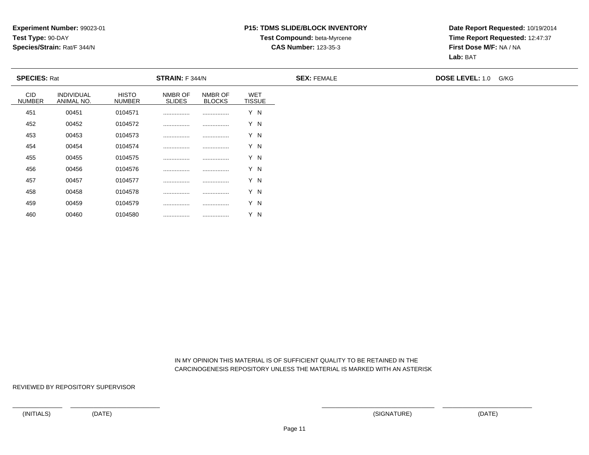### **P15: TDMS SLIDE/BLOCK INVENTORYTest Compound:** beta-Myrcene**CAS Number:** 123-35-3

**Date Report Requested:** 10/19/2014**Time Report Requested:** 12:47:37**First Dose M/F:** NA / NA**Lab:** BAT

\_\_\_\_\_\_\_\_\_\_\_\_\_\_\_ \_\_\_\_\_\_\_\_\_\_\_\_\_\_\_\_\_\_\_\_\_\_\_\_\_\_\_ \_\_\_\_\_\_\_\_\_\_\_\_\_\_\_\_\_\_\_\_\_\_\_\_\_\_\_\_\_\_\_\_\_\_ \_\_\_\_\_\_\_\_\_\_\_\_\_\_\_\_\_\_\_\_\_\_\_\_\_\_\_

**SPECIES:** Rat **STRAIN:** F 344/N **SEX:** FEMALE **DOSE LEVEL:** 1.0 G/KGCID NUMBERINDIVIDUAL ANIMAL NO.HISTO NUMBERNMBR OF SLIDESNMBR OF BLOCKSWET TISSUE451 <sup>00451</sup> <sup>0104571</sup> ................ ................ Y N452 <sup>00452</sup> <sup>0104572</sup> ................ ................ Y N453 <sup>00453</sup> <sup>0104573</sup> ................ ................ Y N454 <sup>00454</sup> <sup>0104574</sup> ................ ................ Y N455 <sup>00455</sup> <sup>0104575</sup> ................ ................ Y N456 <sup>00456</sup> <sup>0104576</sup> ................ ................ Y N457 <sup>00457</sup> <sup>0104577</sup> ................ ................ Y N458 <sup>00458</sup> <sup>0104578</sup> ................ ................ Y N459 <sup>00459</sup> <sup>0104579</sup> ................ ................ Y N460<sup>00460</sup> <sup>0104580</sup> ................ ................ Y N

 IN MY OPINION THIS MATERIAL IS OF SUFFICIENT QUALITY TO BE RETAINED IN THECARCINOGENESIS REPOSITORY UNLESS THE MATERIAL IS MARKED WITH AN ASTERISK

REVIEWED BY REPOSITORY SUPERVISOR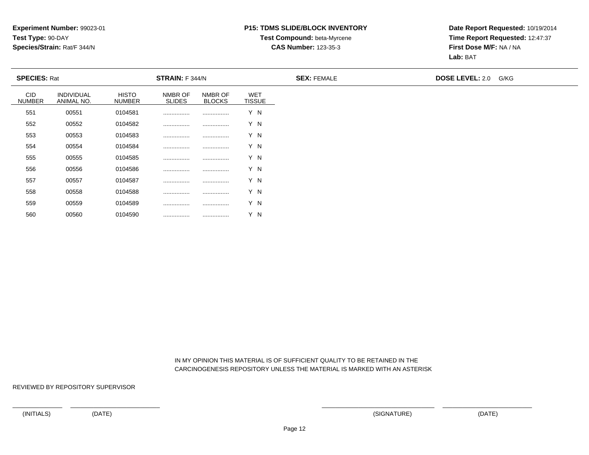# **P15: TDMS SLIDE/BLOCK INVENTORYTest Compound:** beta-Myrcene**CAS Number:** 123-35-3

**Date Report Requested:** 10/19/2014**Time Report Requested:** 12:47:37**First Dose M/F:** NA / NA**Lab:** BAT

| <b>SPECIES: Rat</b>         |                                 |                               | <b>STRAIN: F 344/N</b>   |                          |                             | <b>SEX: FEMALE</b> | <b>DOSE LEVEL: 2.0 G/KG</b> |  |  |
|-----------------------------|---------------------------------|-------------------------------|--------------------------|--------------------------|-----------------------------|--------------------|-----------------------------|--|--|
| <b>CID</b><br><b>NUMBER</b> | <b>INDIVIDUAL</b><br>ANIMAL NO. | <b>HISTO</b><br><b>NUMBER</b> | NMBR OF<br><b>SLIDES</b> | NMBR OF<br><b>BLOCKS</b> | <b>WET</b><br><b>TISSUE</b> |                    |                             |  |  |
| 551                         | 00551                           | 0104581                       |                          |                          | Y N                         |                    |                             |  |  |
| 552                         | 00552                           | 0104582                       |                          |                          | Y N                         |                    |                             |  |  |
| 553                         | 00553                           | 0104583                       |                          |                          | Y N                         |                    |                             |  |  |
| 554                         | 00554                           | 0104584                       |                          |                          | Y N                         |                    |                             |  |  |
| 555                         | 00555                           | 0104585                       |                          |                          | Y N                         |                    |                             |  |  |
| 556                         | 00556                           | 0104586                       |                          |                          | Y N                         |                    |                             |  |  |
| 557                         | 00557                           | 0104587                       |                          |                          | Y N                         |                    |                             |  |  |
| 558                         | 00558                           | 0104588                       |                          |                          | Y N                         |                    |                             |  |  |
| 559                         | 00559                           | 0104589                       |                          |                          | Y N                         |                    |                             |  |  |
| 560                         | 00560                           | 0104590                       |                          |                          | Y N                         |                    |                             |  |  |

 IN MY OPINION THIS MATERIAL IS OF SUFFICIENT QUALITY TO BE RETAINED IN THECARCINOGENESIS REPOSITORY UNLESS THE MATERIAL IS MARKED WITH AN ASTERISK

REVIEWED BY REPOSITORY SUPERVISOR